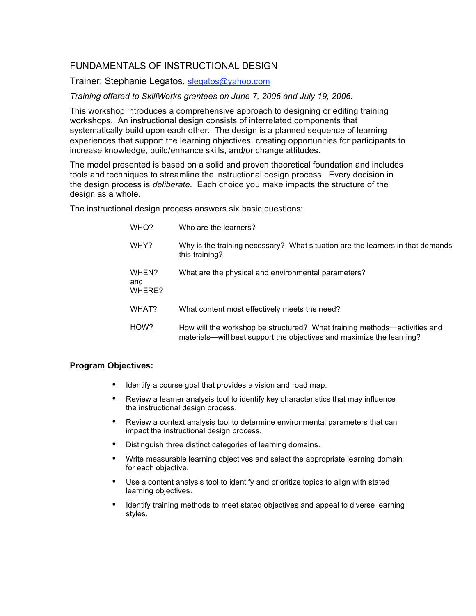## FUNDAMENTALS OF INSTRUCTIONAL DESIGN

Trainer: Stephanie Legatos, slegatos@yahoo.com

*Training offered to SkillWorks grantees on June 7, 2006 and July 19, 2006.*

This workshop introduces a comprehensive approach to designing or editing training workshops. An instructional design consists of interrelated components that systematically build upon each other. The design is a planned sequence of learning experiences that support the learning objectives, creating opportunities for participants to increase knowledge, build/enhance skills, and/or change attitudes.

The model presented is based on a solid and proven theoretical foundation and includes tools and techniques to streamline the instructional design process. Every decision in the design process is *deliberate*. Each choice you make impacts the structure of the design as a whole.

The instructional design process answers six basic questions:

| WHO?                   | Who are the learners?                                                                                                                              |
|------------------------|----------------------------------------------------------------------------------------------------------------------------------------------------|
| WHY?                   | Why is the training necessary? What situation are the learners in that demands<br>this training?                                                   |
| WHEN?<br>and<br>WHERE? | What are the physical and environmental parameters?                                                                                                |
| WHAT?                  | What content most effectively meets the need?                                                                                                      |
| HOW?                   | How will the workshop be structured? What training methods—activities and<br>materials—will best support the objectives and maximize the learning? |

## **Program Objectives:**

- Identify a course goal that provides a vision and road map.
- Review a learner analysis tool to identify key characteristics that may influence the instructional design process.
- Review a context analysis tool to determine environmental parameters that can impact the instructional design process.
- Distinguish three distinct categories of learning domains.
- Write measurable learning objectives and select the appropriate learning domain for each objective.
- Use a content analysis tool to identify and prioritize topics to align with stated learning objectives.
- Identify training methods to meet stated objectives and appeal to diverse learning styles.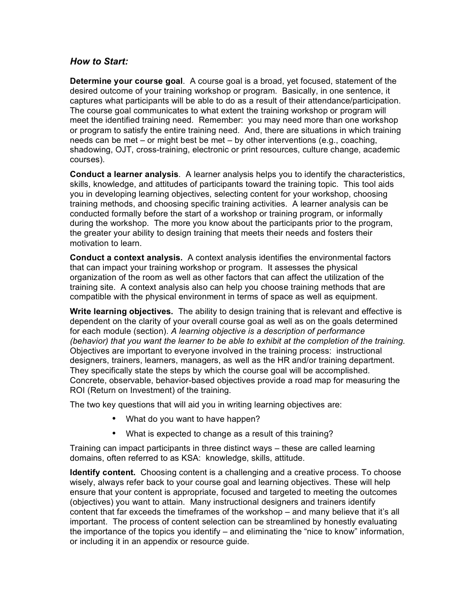## *How to Start:*

**Determine your course goal**. A course goal is a broad, yet focused, statement of the desired outcome of your training workshop or program. Basically, in one sentence, it captures what participants will be able to do as a result of their attendance/participation. The course goal communicates to what extent the training workshop or program will meet the identified training need. Remember: you may need more than one workshop or program to satisfy the entire training need. And, there are situations in which training needs can be met – or might best be met – by other interventions (e.g., coaching, shadowing, OJT, cross-training, electronic or print resources, culture change, academic courses).

**Conduct a learner analysis**. A learner analysis helps you to identify the characteristics, skills, knowledge, and attitudes of participants toward the training topic. This tool aids you in developing learning objectives, selecting content for your workshop, choosing training methods, and choosing specific training activities. A learner analysis can be conducted formally before the start of a workshop or training program, or informally during the workshop. The more you know about the participants prior to the program, the greater your ability to design training that meets their needs and fosters their motivation to learn.

**Conduct a context analysis.** A context analysis identifies the environmental factors that can impact your training workshop or program. It assesses the physical organization of the room as well as other factors that can affect the utilization of the training site. A context analysis also can help you choose training methods that are compatible with the physical environment in terms of space as well as equipment.

**Write learning objectives.** The ability to design training that is relevant and effective is dependent on the clarity of your overall course goal as well as on the goals determined for each module (section). *A learning objective is a description of performance (behavior) that you want the learner to be able to exhibit at the completion of the training.* Objectives are important to everyone involved in the training process: instructional designers, trainers, learners, managers, as well as the HR and/or training department. They specifically state the steps by which the course goal will be accomplished. Concrete, observable, behavior-based objectives provide a road map for measuring the ROI (Return on Investment) of the training.

The two key questions that will aid you in writing learning objectives are:

- What do you want to have happen?
- What is expected to change as a result of this training?

Training can impact participants in three distinct ways – these are called learning domains, often referred to as KSA: knowledge, skills, attitude.

**Identify content.** Choosing content is a challenging and a creative process. To choose wisely, always refer back to your course goal and learning objectives. These will help ensure that your content is appropriate, focused and targeted to meeting the outcomes (objectives) you want to attain. Many instructional designers and trainers identify content that far exceeds the timeframes of the workshop – and many believe that it's all important. The process of content selection can be streamlined by honestly evaluating the importance of the topics you identify – and eliminating the "nice to know" information, or including it in an appendix or resource guide.